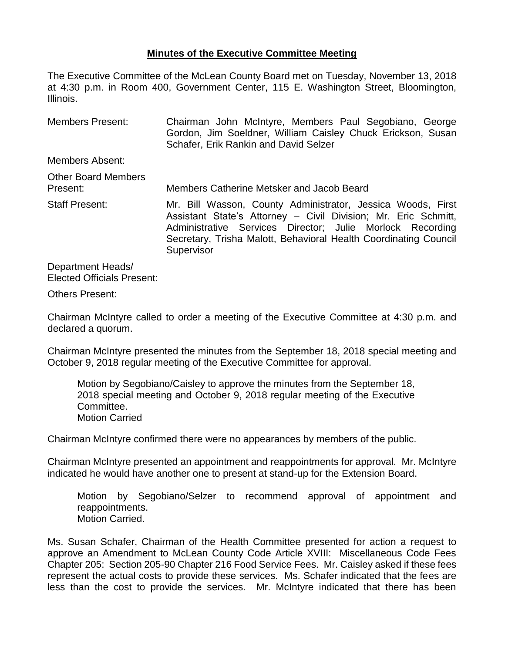## **Minutes of the Executive Committee Meeting**

The Executive Committee of the McLean County Board met on Tuesday, November 13, 2018 at 4:30 p.m. in Room 400, Government Center, 115 E. Washington Street, Bloomington, Illinois.

Members Present: Chairman John McIntyre, Members Paul Segobiano, George Gordon, Jim Soeldner, William Caisley Chuck Erickson, Susan Schafer, Erik Rankin and David Selzer Members Absent: Other Board Members Present: Members Catherine Metsker and Jacob Beard Staff Present: Mr. Bill Wasson, County Administrator, Jessica Woods, First Assistant State's Attorney – Civil Division; Mr. Eric Schmitt,

Administrative Services Director; Julie Morlock Recording Secretary, Trisha Malott, Behavioral Health Coordinating Council **Supervisor** 

Department Heads/ Elected Officials Present:

Others Present:

Chairman McIntyre called to order a meeting of the Executive Committee at 4:30 p.m. and declared a quorum.

Chairman McIntyre presented the minutes from the September 18, 2018 special meeting and October 9, 2018 regular meeting of the Executive Committee for approval.

Motion by Segobiano/Caisley to approve the minutes from the September 18, 2018 special meeting and October 9, 2018 regular meeting of the Executive Committee. Motion Carried

Chairman McIntyre confirmed there were no appearances by members of the public.

Chairman McIntyre presented an appointment and reappointments for approval. Mr. McIntyre indicated he would have another one to present at stand-up for the Extension Board.

Motion by Segobiano/Selzer to recommend approval of appointment and reappointments. Motion Carried.

Ms. Susan Schafer, Chairman of the Health Committee presented for action a request to approve an Amendment to McLean County Code Article XVIII: Miscellaneous Code Fees Chapter 205: Section 205-90 Chapter 216 Food Service Fees. Mr. Caisley asked if these fees represent the actual costs to provide these services. Ms. Schafer indicated that the fees are less than the cost to provide the services. Mr. McIntyre indicated that there has been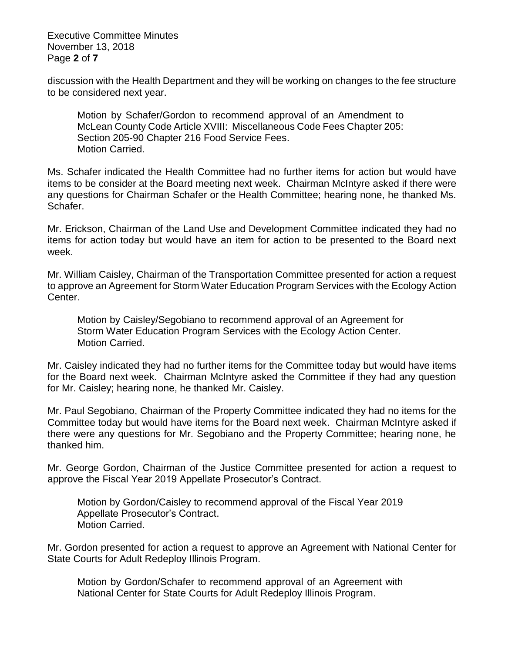Executive Committee Minutes November 13, 2018 Page **2** of **7**

discussion with the Health Department and they will be working on changes to the fee structure to be considered next year.

Motion by Schafer/Gordon to recommend approval of an Amendment to McLean County Code Article XVIII: Miscellaneous Code Fees Chapter 205: Section 205-90 Chapter 216 Food Service Fees. Motion Carried.

Ms. Schafer indicated the Health Committee had no further items for action but would have items to be consider at the Board meeting next week. Chairman McIntyre asked if there were any questions for Chairman Schafer or the Health Committee; hearing none, he thanked Ms. Schafer.

Mr. Erickson, Chairman of the Land Use and Development Committee indicated they had no items for action today but would have an item for action to be presented to the Board next week.

Mr. William Caisley, Chairman of the Transportation Committee presented for action a request to approve an Agreement for Storm Water Education Program Services with the Ecology Action Center.

Motion by Caisley/Segobiano to recommend approval of an Agreement for Storm Water Education Program Services with the Ecology Action Center. Motion Carried.

Mr. Caisley indicated they had no further items for the Committee today but would have items for the Board next week. Chairman McIntyre asked the Committee if they had any question for Mr. Caisley; hearing none, he thanked Mr. Caisley.

Mr. Paul Segobiano, Chairman of the Property Committee indicated they had no items for the Committee today but would have items for the Board next week. Chairman McIntyre asked if there were any questions for Mr. Segobiano and the Property Committee; hearing none, he thanked him.

Mr. George Gordon, Chairman of the Justice Committee presented for action a request to approve the Fiscal Year 2019 Appellate Prosecutor's Contract.

Motion by Gordon/Caisley to recommend approval of the Fiscal Year 2019 Appellate Prosecutor's Contract. Motion Carried.

Mr. Gordon presented for action a request to approve an Agreement with National Center for State Courts for Adult Redeploy Illinois Program.

Motion by Gordon/Schafer to recommend approval of an Agreement with National Center for State Courts for Adult Redeploy Illinois Program.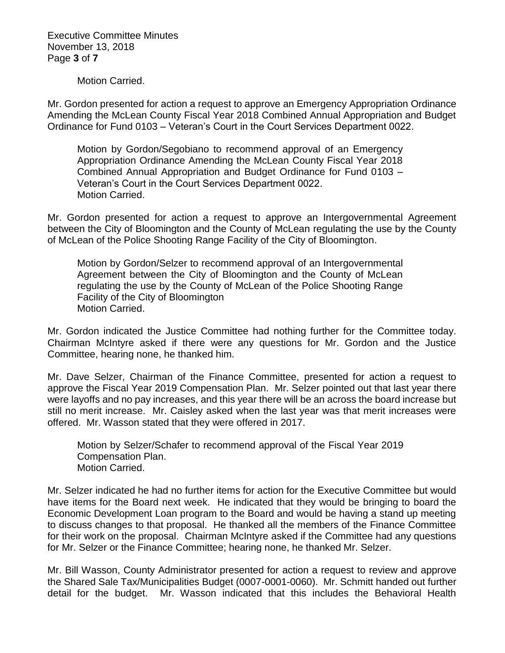Executive Committee Minutes November 13, 2018 Page **3** of **7**

Motion Carried.

Mr. Gordon presented for action a request to approve an Emergency Appropriation Ordinance Amending the McLean County Fiscal Year 2018 Combined Annual Appropriation and Budget Ordinance for Fund 0103 – Veteran's Court in the Court Services Department 0022.

Motion by Gordon/Segobiano to recommend approval of an Emergency Appropriation Ordinance Amending the McLean County Fiscal Year 2018 Combined Annual Appropriation and Budget Ordinance for Fund 0103 – Veteran's Court in the Court Services Department 0022. Motion Carried.

Mr. Gordon presented for action a request to approve an Intergovernmental Agreement between the City of Bloomington and the County of McLean regulating the use by the County of McLean of the Police Shooting Range Facility of the City of Bloomington.

Motion by Gordon/Selzer to recommend approval of an Intergovernmental Agreement between the City of Bloomington and the County of McLean regulating the use by the County of McLean of the Police Shooting Range Facility of the City of Bloomington Motion Carried.

Mr. Gordon indicated the Justice Committee had nothing further for the Committee today. Chairman McIntyre asked if there were any questions for Mr. Gordon and the Justice Committee, hearing none, he thanked him.

Mr. Dave Selzer, Chairman of the Finance Committee, presented for action a request to approve the Fiscal Year 2019 Compensation Plan. Mr. Selzer pointed out that last year there were layoffs and no pay increases, and this year there will be an across the board increase but still no merit increase. Mr. Caisley asked when the last year was that merit increases were offered. Mr. Wasson stated that they were offered in 2017.

Motion by Selzer/Schafer to recommend approval of the Fiscal Year 2019 Compensation Plan. Motion Carried.

Mr. Selzer indicated he had no further items for action for the Executive Committee but would have items for the Board next week. He indicated that they would be bringing to board the Economic Development Loan program to the Board and would be having a stand up meeting to discuss changes to that proposal. He thanked all the members of the Finance Committee for their work on the proposal. Chairman McIntyre asked if the Committee had any questions for Mr. Selzer or the Finance Committee; hearing none, he thanked Mr. Selzer.

Mr. Bill Wasson, County Administrator presented for action a request to review and approve the Shared Sale Tax/Municipalities Budget (0007-0001-0060). Mr. Schmitt handed out further detail for the budget. Mr. Wasson indicated that this includes the Behavioral Health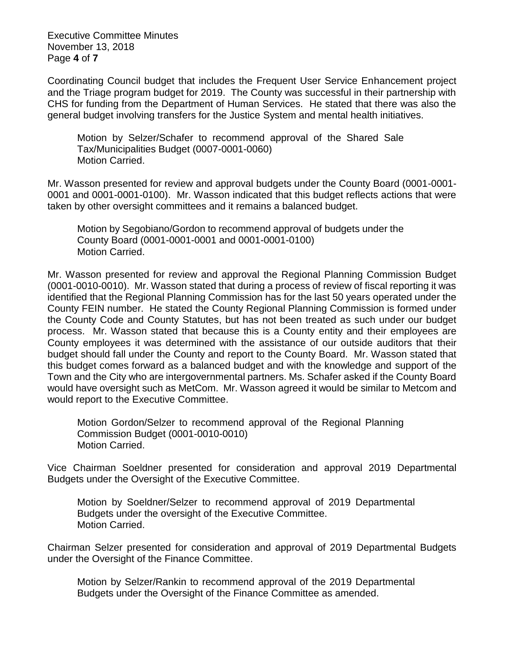Executive Committee Minutes November 13, 2018 Page **4** of **7**

Coordinating Council budget that includes the Frequent User Service Enhancement project and the Triage program budget for 2019. The County was successful in their partnership with CHS for funding from the Department of Human Services. He stated that there was also the general budget involving transfers for the Justice System and mental health initiatives.

Motion by Selzer/Schafer to recommend approval of the Shared Sale Tax/Municipalities Budget (0007-0001-0060) Motion Carried.

Mr. Wasson presented for review and approval budgets under the County Board (0001-0001- 0001 and 0001-0001-0100). Mr. Wasson indicated that this budget reflects actions that were taken by other oversight committees and it remains a balanced budget.

Motion by Segobiano/Gordon to recommend approval of budgets under the County Board (0001-0001-0001 and 0001-0001-0100) Motion Carried.

Mr. Wasson presented for review and approval the Regional Planning Commission Budget (0001-0010-0010). Mr. Wasson stated that during a process of review of fiscal reporting it was identified that the Regional Planning Commission has for the last 50 years operated under the County FEIN number. He stated the County Regional Planning Commission is formed under the County Code and County Statutes, but has not been treated as such under our budget process. Mr. Wasson stated that because this is a County entity and their employees are County employees it was determined with the assistance of our outside auditors that their budget should fall under the County and report to the County Board. Mr. Wasson stated that this budget comes forward as a balanced budget and with the knowledge and support of the Town and the City who are intergovernmental partners. Ms. Schafer asked if the County Board would have oversight such as MetCom. Mr. Wasson agreed it would be similar to Metcom and would report to the Executive Committee.

Motion Gordon/Selzer to recommend approval of the Regional Planning Commission Budget (0001-0010-0010) Motion Carried.

Vice Chairman Soeldner presented for consideration and approval 2019 Departmental Budgets under the Oversight of the Executive Committee.

Motion by Soeldner/Selzer to recommend approval of 2019 Departmental Budgets under the oversight of the Executive Committee. Motion Carried.

Chairman Selzer presented for consideration and approval of 2019 Departmental Budgets under the Oversight of the Finance Committee.

Motion by Selzer/Rankin to recommend approval of the 2019 Departmental Budgets under the Oversight of the Finance Committee as amended.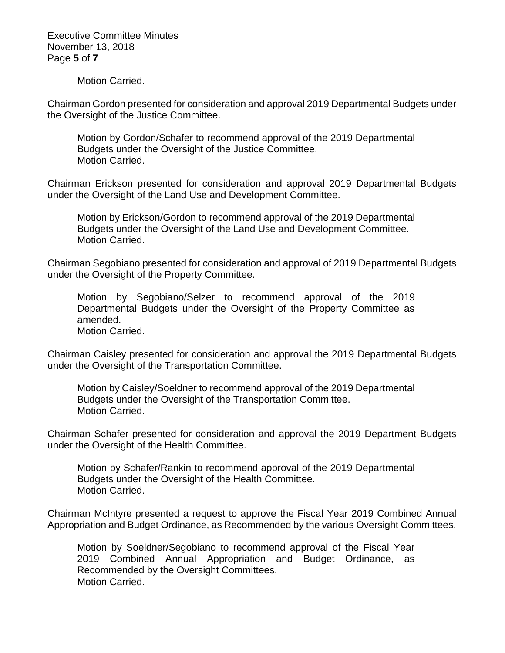Executive Committee Minutes November 13, 2018 Page **5** of **7**

Motion Carried.

Chairman Gordon presented for consideration and approval 2019 Departmental Budgets under the Oversight of the Justice Committee.

Motion by Gordon/Schafer to recommend approval of the 2019 Departmental Budgets under the Oversight of the Justice Committee. Motion Carried.

Chairman Erickson presented for consideration and approval 2019 Departmental Budgets under the Oversight of the Land Use and Development Committee.

Motion by Erickson/Gordon to recommend approval of the 2019 Departmental Budgets under the Oversight of the Land Use and Development Committee. Motion Carried.

Chairman Segobiano presented for consideration and approval of 2019 Departmental Budgets under the Oversight of the Property Committee.

Motion by Segobiano/Selzer to recommend approval of the 2019 Departmental Budgets under the Oversight of the Property Committee as amended. Motion Carried.

Chairman Caisley presented for consideration and approval the 2019 Departmental Budgets under the Oversight of the Transportation Committee.

Motion by Caisley/Soeldner to recommend approval of the 2019 Departmental Budgets under the Oversight of the Transportation Committee. Motion Carried.

Chairman Schafer presented for consideration and approval the 2019 Department Budgets under the Oversight of the Health Committee.

Motion by Schafer/Rankin to recommend approval of the 2019 Departmental Budgets under the Oversight of the Health Committee. Motion Carried.

Chairman McIntyre presented a request to approve the Fiscal Year 2019 Combined Annual Appropriation and Budget Ordinance, as Recommended by the various Oversight Committees.

Motion by Soeldner/Segobiano to recommend approval of the Fiscal Year 2019 Combined Annual Appropriation and Budget Ordinance, as Recommended by the Oversight Committees. Motion Carried.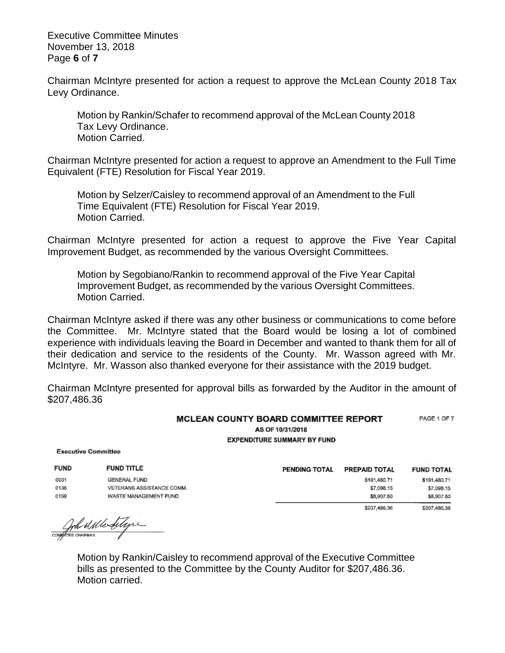Executive Committee Minutes November 13, 2018 Page **6** of **7**

Chairman McIntyre presented for action a request to approve the McLean County 2018 Tax Levy Ordinance.

Motion by Rankin/Schafer to recommend approval of the McLean County 2018 Tax Levy Ordinance. Motion Carried.

Chairman McIntyre presented for action a request to approve an Amendment to the Full Time Equivalent (FTE) Resolution for Fiscal Year 2019.

Motion by Selzer/Caisley to recommend approval of an Amendment to the Full Time Equivalent (FTE) Resolution for Fiscal Year 2019. Motion Carried.

Chairman McIntyre presented for action a request to approve the Five Year Capital Improvement Budget, as recommended by the various Oversight Committees.

Motion by Segobiano/Rankin to recommend approval of the Five Year Capital Improvement Budget, as recommended by the various Oversight Committees. Motion Carried.

Chairman McIntyre asked if there was any other business or communications to come before the Committee. Mr. McIntyre stated that the Board would be losing a lot of combined experience with individuals leaving the Board in December and wanted to thank them for all of their dedication and service to the residents of the County. Mr. Wasson agreed with Mr. McIntyre. Mr. Wasson also thanked everyone for their assistance with the 2019 budget.

Chairman McIntyre presented for approval bills as forwarded by the Auditor in the amount of \$207,486.36

## MCLEAN COUNTY BOARD COMMITTEE REPORT PAGE 1 OF 7 AS OF 10/31/2018 **EXPENDITURE SUMMARY BY FUND**

**Executive Committee** 

| <b>FUND</b> | <b>FUND TITLE</b>         | <b>PENDING TOTAL</b> | PREPAID TOTAL | <b>FUND TOTAL</b> |
|-------------|---------------------------|----------------------|---------------|-------------------|
| 0001        | GENERAL FUND              |                      | \$191,480.71  | \$191,480.71      |
| 0136        | VETERANS ASSISTANCE COMM. |                      | \$7,098.15    | \$7,098.15        |
| 0159        | WASTE MANAGEMENT FUND     |                      | \$8,907.50    | \$8,907.50        |
|             |                           |                      | \$207,486.36  | \$207,486.36      |

COMPTERE CHARMAN

Motion by Rankin/Caisley to recommend approval of the Executive Committee bills as presented to the Committee by the County Auditor for \$207,486.36. Motion carried.